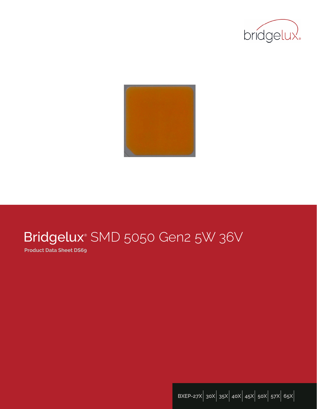



# Bridgelux® SMD 5050 Gen2 5W 36V

**Product Data Sheet DS69**

**BXEP-27X**| **30X**| **35X**| **40X**| **45X**| **50X**| **57X**| **65X**|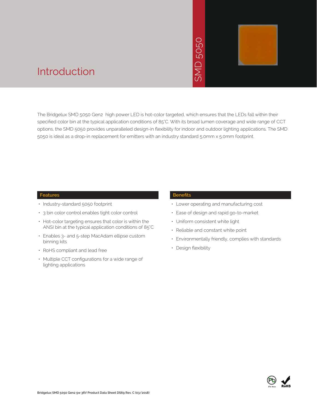# 5050  $\overline{\geq}$



### Introduction

The Bridgelux SMD 5050 Gen2 high power LED is hot-color targeted, which ensures that the LEDs fall within their specified color bin at the typical application conditions of 85°C. With its broad lumen coverage and wide range of CCT options, the SMD 5050 provides unparalleled design-in flexibility for indoor and outdoor lighting applications. The SMD 5050 is ideal as a drop-in replacement for emitters with an industry standard 5.0mm x 5.0mm footprint. • Design flexibility<br>
• Periodic Control of State State State State State State State State State State State State State State State State State State State State State State State State State State State State State Stat

#### **Features**

- Industry-standard 5050 footprint
- 3 bin color control enables tight color control
- Hot-color targeting ensures that color is within the ANSI bin at the typical application conditions of 85°C
- Enables 3- and 5-step MacAdam ellipse custom binning kits
- RoHS compliant and lead free
- Multiple CCT configurations for a wide range of lighting applications

#### **Benefits**

- Lower operating and manufacturing cost
- Ease of design and rapid go-to-market
- Uniform consistent white light
- Reliable and constant white point
- Environmentally friendly, complies with standards
- · Design flexibility

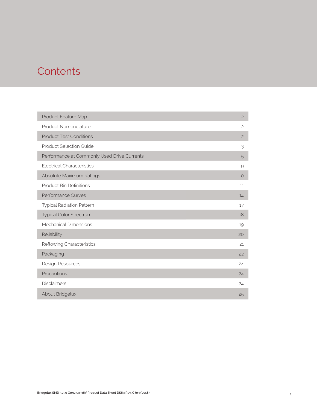### **Contents**

| Product Feature Map                         | $\mathbf{2}$   |
|---------------------------------------------|----------------|
| Product Nomenclature                        | $\mathfrak{S}$ |
| <b>Product Test Conditions</b>              | $\overline{c}$ |
| <b>Product Selection Guide</b>              | 3              |
| Performance at Commonly Used Drive Currents | 5              |
| <b>Electrical Characteristics</b>           | 9              |
| Absolute Maximum Ratings                    | 10             |
| <b>Product Bin Definitions</b>              | 11             |
| <b>Performance Curves</b>                   | 14             |
| <b>Typical Radiation Pattern</b>            | 17             |
| <b>Typical Color Spectrum</b>               | 18             |
| <b>Mechanical Dimensions</b>                | 19             |
| Reliability                                 | 20             |
| Reflowing Characteristics                   | 21             |
| Packaging                                   | 22             |
| Design Resources                            | 24             |
| Precautions                                 | 24             |
| <b>Disclaimers</b>                          | 24             |
| About Bridgelux                             | 25             |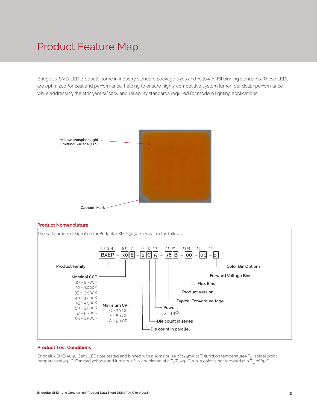### Product Feature Map

Bridgelux SMD LED products come in industry standard package sizes and follow ANSI binning standards. These LEDs are optimized for cost and performance, helping to ensure highly competitive system lumen per dollar performance while addressing the stringent efficacy and reliability standards required for modern lighting applications.







#### **Product Test Conditions**

Bridgelux SMD 5050 Gen2 LEDs are tested and binned with a 10ms pulse of 125mA at T<sub>j</sub> (junction temperature)=T<sub>sp</sub> (solder point temperature) =25°C. Forward voltage and luminous flux are binned at a T<sub>j=</sub>T<sub>sp</sub>=25°C, while color is hot targeted at a T<sub>sp</sub> of 85°C.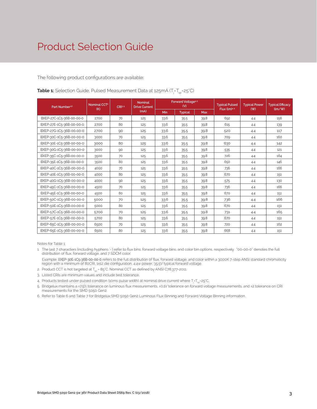The following product configurations are available:

| Part Number <sup>1,6</sup> | Nominal CCT <sup>2</sup> | CRI3.5 | <b>Nominal</b><br><b>Drive Current</b> | Forward Voltage <sup>4.5</sup><br>(V) |                |            | <b>Typical Pulsed</b> | <b>Typical Power</b> | <b>Typical Efficacy</b> |
|----------------------------|--------------------------|--------|----------------------------------------|---------------------------------------|----------------|------------|-----------------------|----------------------|-------------------------|
|                            | (K)                      |        | (mA)                                   | Min                                   | <b>Typical</b> | <b>Max</b> | Flux (lm)4.5          | (W)                  | $\frac{1}{2}$           |
| BXEP-27C-1C5-36B-00-00-0   | 2700                     | 70     | 125                                    | 33.6                                  | 35.5           | 39.8       | 692                   | 4.4                  | 156                     |
| BXEP-27E-1C5-36B-00-00-0   | 2700                     | 80     | 125                                    | 33.6                                  | 35.5           | 39.8       | 615                   | 4.4                  | 139                     |
| BXEP-27G-1C5-36B-00-00-0   | 2700                     | 90     | 125                                    | 33.6                                  | 35.5           | 39.8       | 520                   | 4.4                  | 117                     |
| BXEP-30C-1C5-36B-00-00-0   | 3000                     | 70     | 125                                    | 33.6                                  | 35.5           | 39.8       | 709                   | 4.4                  | 160                     |
| BXEP-30E-1C5-36B-00-00-0   | 3000                     | 80     | 125                                    | 33.6                                  | 35.5           | 39.8       | 630                   | 4.4                  | 142                     |
| BXEP-30G-1C5-36B-00-00-0   | 3000                     | 90     | 125                                    | 33.6                                  | 35.5           | 39.8       | 535                   | 4.4                  | 121                     |
| BXEP-35C-1C5-36B-00-00-0   | 3500                     | 70     | 125                                    | 33.6                                  | 35.5           | 39.8       | 726                   | 4.4                  | 164                     |
| BXEP-35E-1C5-36B-00-00-0   | 3500                     | 80     | 125                                    | 33.6                                  | 35.5           | 39.8       | 650                   | 4.4                  | 146                     |
| BXEP-40C-1C5-36B-00-00-0   | 4000                     | 70     | 125                                    | 33.6                                  | 35.5           | 39.8       | 736                   | 4.4                  | 166                     |
| BXEP-40E-1C5-36B-00-00-0   | 4000                     | 80     | 125                                    | 33.6                                  | 35.5           | 39.8       | 670                   | 4.4                  | 151                     |
| BXEP-40G-1C5-36B-00-00-0   | 4000                     | 90     | 125                                    | 33.6                                  | 35.5           | 39.8       | 575                   | 4.4                  | 130                     |
| BXEP-45C-1C5-36B-00-00-0   | 4500                     | 70     | 125                                    | 33.6                                  | 35.5           | 39.8       | 736                   | 4.4                  | 166                     |
| BXEP-45E-1C5-36B-00-00-0   | 4500                     | 80     | 125                                    | 33.6                                  | 35.5           | 39.8       | 670                   | 4.4                  | 151                     |
| BXEP-50C-1C5-36B-00-00-0   | 5000                     | 70     | 125                                    | 33.6                                  | 35.5           | 39.8       | 736                   | 4.4                  | 166                     |
| BXEP-50E-1C5-36B-00-00-0   | 5000                     | 80     | 125                                    | 33.6                                  | 35.5           | 39.8       | 670                   | 4.4                  | 151                     |
| BXEP-57C-1C5-36B-00-00-0   | 5700                     | 70     | 125                                    | 33.6                                  | 35.5           | 39.8       | 731                   | 4.4                  | 165                     |
| BXEP-57E-1C5-36B-00-00-0   | 5700                     | 80     | 125                                    | 33.6                                  | 35.5           | 39.8       | 670                   | 4.4                  | 151                     |
| BXEP-65C-1C5-36B-00-00-0   | 6500                     | 70     | 125                                    | 33.6                                  | 35.5           | 39.8       | 720                   | 4.4                  | 162                     |
| BXEP-65E-1C5-36B-00-00-0   | 6500                     | 80     | 125                                    | 33.6                                  | 35.5           | 39.8       | 668                   | 4.4                  | 151                     |

**Table 1:** Selection Guide, Pulsed Measurement Data at 125mA (T<sub>j</sub>=T<sub>sp</sub>=25°C)

Notes for Table 1:

1. The last 7 characters (including hyphens '-') refer to flux bins, forward voltage bins, and color bin options, respectively. "00-00-0" denotes the full distribution of flux, forward voltage, and 7 SDCM color.

 Example: BXEP-30E-1C5-36B-00-00-0 refers to the full distribution of flux, forward voltage, and color within a 3000K 7-step ANSI standard chromaticity region with a minimum of 80CRI, 1x12 die configuration, 4.4w power, 35.5V typical forward voltage.

- 2. Product CCT is hot targeted at  $T_{sp}$  = 85°C. Nominal CCT as defined by ANSI C78.377-2011.
- 3. Listed CRIs are minimum values and include test tolerance.
- 4. Products tested under pulsed condition (10ms pulse width) at nominal drive current where T<sub>j</sub>=T<sub>sp</sub>=25°C.

5. Bridgelux maintains a ±7.5% tolerance on luminous flux measurements, ±0.1V tolerance on forward voltage measurements, and ±2 tolerance on CRI measurements for the SMD 5050 Gen2.

6. Refer to Table 6 and Table 7 for Bridgelux SMD 5050 Gen2 Luminous Flux Binning and Forward Voltage Binning information.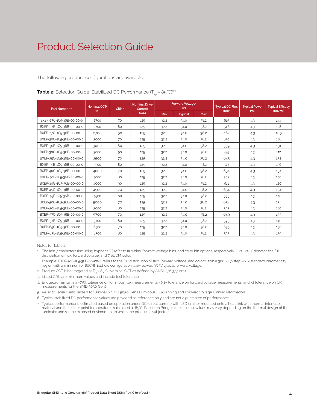The following product configurations are available:

| Part Number <sup>15</sup> | Nominal CCT <sup>2</sup><br>(K) | CRI <sup>3.4</sup> | <b>Nominal Drive</b><br>Current |            | <b>Forward Voltage4</b><br>(V) |            | <b>Typical DC Flux</b><br>(lm) <sup>4</sup> | <b>Typical Power</b> | <b>Typical Ef</b> |
|---------------------------|---------------------------------|--------------------|---------------------------------|------------|--------------------------------|------------|---------------------------------------------|----------------------|-------------------|
|                           |                                 |                    | (mA)                            | <b>Min</b> | <b>Typical</b>                 | <b>Max</b> |                                             | (W)                  | $\frac{1}{2}$     |
| BXEP-27C-1C5-36B-00-00-0  | 2700                            | 70                 | 125                             | 32.2       | 34.0                           | 38.2       | 615                                         | 4.3                  | 144               |
| BXEP-27E-1C5-36B-00-00-0  | 2700                            | 80                 | 125                             | 32.2       | 34.0                           | 38.2       | 546                                         | 4.3                  | 128               |
| BXEP-27G-1C5-36B-00-00-0  | 2700                            | 90                 | 125                             | 32.2       | 34.0                           | 38.2       | 462                                         | 4.3                  | 10 <sub>9</sub>   |
| BXEP-30C-1C5-36B-00-00-0  | 3000                            | 70                 | 125                             | 32.2       | 34.0                           | 38.2       | 630                                         | 4.3                  | 148               |
| BXEP-30E-1C5-36B-00-00-0  | 3000                            | 80                 | 125                             | 32.2       | 34.0                           | 38.2       | 559                                         | 4.3                  | 131               |
| BXEP-30G-1C5-36B-00-00-0  | 3000                            | 90                 | 125                             | 32.2       | 34.0                           | 38.2       | 475                                         | 4.3                  | 112               |
| BXEP-35C-1C5-36B-00-00-0  | 3500                            | 70                 | 125                             | 32.2       | 34.0                           | 38.2       | 645                                         | 4.3                  | 152               |
| BXEP-35E-1C5-36B-00-00-0  | 3500                            | 80                 | 125                             | 32.2       | 34.0                           | 38.2       | 577                                         | 4.3                  | 136               |
| BXEP-40C-1C5-36B-00-00-0  | 4000                            | 70                 | 125                             | 32.2       | 34.0                           | 38.2       | 654                                         | 4.3                  | 154               |
| BXEP-40E-1C5-36B-00-00-0  | 4000                            | 80                 | 125                             | 32.2       | 34.0                           | 38.2       | 595                                         | 4.3                  | 140               |
| BXEP-40G-1C5-36B-00-00-0  | 4000                            | 90                 | 125                             | 32.2       | 34.0                           | 38.2       | 511                                         | 4.3                  | 120               |

#### **Table 2:** Selection Guide, Stabilized DC Performance (T<sub>cp</sub> = 85°C)<sup>6,7</sup>

Notes for Table 2:

1. The last 7 characters (including hyphens '-') refer to flux bins, forward voltage bins, and color bin options, respectively. "00-00-0" denotes the full distribution of flux, forward voltage, and 7 SDCM color.

BXEP-45C-1C5-36B-00-00-0 4500 70 125 32.2 34.0 38.2 654 4.3 154 BXEP-45E-1C5-36B-00-00-0 4500 80 125 32.2 34.0 38.2 595 43 140 BXEP-50C-1C5-36B-00-00-0 5000 70 125 32.2 34.0 38.2 654 43 43 BXEP-50E-1C5-36B-00-00-0 5000 80 125 32.2 34.0 38.2 595 43 140 BXEP-57C-1C5-36B-00-00-0 5700 70 125 32.2 34.0 38.2 649 4.3 353 BXEP-57E-1C5-36B-00-00-0 5700 80 125 32.2 34.0 38.2 595 43 43 BXEP-65C-1C5-36B-00-00-0 6500 70 125 32.2 34.0 38.2 639 4.3 150 BXEP-65E-1C5-36B-00-00-0 6500 80 125 32.2 34.0 38.2 593 43 343

- Example: BXEP-30E-1C5-36B-00-00-0 refers to the full distribution of flux, forward voltage, and color within a 3000K 7-step ANSI standard chromaticity region with a minimum of 80CRI, 1x12 die configuration, 4.4w power, 35.5V typical forward voltage.
- 2. Product CCT is hot targeted at  $T_{es}$  = 85°C. Nominal CCT as defined by ANSI C78.377-2011.
- 3. Listed CRIs are minimum values and include test tolerance.
- 4. Bridgelux maintains a ±7.5% tolerance on luminous flux measurements, ±0.1V tolerance on forward voltage measurements, and ±2 tolerance on CRI measurements for the SMD 5050 Gen2.
- 5. Refer to Table 6 and Table 7 for Bridgelux SMD 5050 Gen2 Luminous Flux Binning and Forward Voltage Binning information.
- 6. Typical stabilized DC performance values are provided as reference only and are not a guarantee of performance.
- 7. Typical performance is estimated based on operation under DC (direct current) with LED emitter mounted onto a heat sink with thermal interface material and the solder point temperature maintained at 85°C. Based on Bridgelux test setup, values may vary depending on the thermal design of the luminaire and/or the exposed environment to which the product is subjected.

**Typical Efficacy (lm/W)**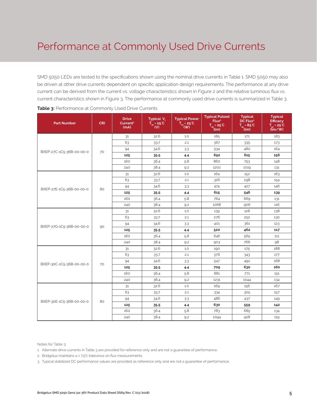SMD 5050 LEDs are tested to the specifications shown using the nominal drive currents in Table 1. SMD 5050 may also be driven at other drive currents dependent on specific application design requirements. The performance at any drive current can be derived from the current vs. voltage characteristics shown in Figure 2 and the relative luminous flux vs. current characteristics shown in Figure 3. The performance at commonly used drive currents is summarized in Table 3.

| <b>Part Number</b>       | <b>CRI</b> | <b>Drive</b><br>Current <sup>1</sup><br>(mA) | Typical V <sub>e</sub><br>$T_{sp}$ = 25°C<br>$\mathbf{w}$ | <b>Typical Power</b><br>$\overline{T}_{sp}$ = 25 <sup>°</sup> C<br>(W) | <b>Typical Pulsed</b><br>Flux <sup>2</sup><br>$T_{sp} = 25^{\circ}C$<br>(lm) | <b>Typical</b><br>DC Flux <sup>3</sup><br>$T_{\rm sp} = 85^{\circ}C$<br>(lm) | <b>Typical</b><br><b>Efficacy</b><br>$T_{sp} = 25^{\circ}C$<br>(lm/W) |
|--------------------------|------------|----------------------------------------------|-----------------------------------------------------------|------------------------------------------------------------------------|------------------------------------------------------------------------------|------------------------------------------------------------------------------|-----------------------------------------------------------------------|
|                          |            | 31                                           | 32.6                                                      | 1.0                                                                    | 185                                                                          | 171                                                                          | 183                                                                   |
|                          |            | 63                                           | 33.7                                                      | 2.1                                                                    | 367                                                                          | 335                                                                          | 173                                                                   |
| BXEP-27C-1C5-36B-00-00-0 | 70         | 94                                           | 34.6                                                      | 3.3                                                                    | 534                                                                          | 480                                                                          | 164                                                                   |
|                          |            | 125                                          | 35.5                                                      | 4.4                                                                    | 692                                                                          | 615                                                                          | 156                                                                   |
|                          |            | 160                                          | 36.4                                                      | 5.8                                                                    | 860                                                                          | 753                                                                          | 148                                                                   |
|                          |            | 240                                          | 38.4                                                      | 9.2                                                                    | 1202                                                                         | 1019                                                                         | 131                                                                   |
|                          |            | 31                                           | 32.6                                                      | 1.0                                                                    | 164                                                                          | 152                                                                          | 163                                                                   |
|                          |            | 63                                           | 33.7                                                      | 2.1                                                                    | 326                                                                          | 298                                                                          | 154                                                                   |
| BXEP-27E-1C5-36B-00-00-0 | 80         | 94                                           | 34.6                                                      | 3.3                                                                    | 474                                                                          | 427                                                                          | 146                                                                   |
|                          |            | 125                                          | 35.5                                                      | 4.4                                                                    | 615                                                                          | 546                                                                          | 139                                                                   |
|                          |            | 160                                          | 36.4                                                      | 5.8                                                                    | 764                                                                          | 669                                                                          | 131                                                                   |
|                          |            | 240                                          | 38.4                                                      | 9.2                                                                    | 1068                                                                         | 906                                                                          | 116                                                                   |
|                          | 90         | 31                                           | 32.6                                                      | 1.0                                                                    | 139                                                                          | 128                                                                          | 138                                                                   |
|                          |            | 63                                           | 33.7                                                      | 2.1                                                                    | 276                                                                          | 252                                                                          | 130                                                                   |
| BXEP-27G-1C5-36B-00-00-0 |            | 94                                           | 34.6                                                      | 3.3                                                                    | 401                                                                          | 361                                                                          | 123                                                                   |
|                          |            | 125                                          | 35.5                                                      | 4.4                                                                    | 520                                                                          | 462                                                                          | 117                                                                   |
|                          |            | 160                                          | 36.4                                                      | 5.8                                                                    | 646                                                                          | 565                                                                          | 111                                                                   |
|                          |            | 240                                          | 38.4                                                      | 9.2                                                                    | 903                                                                          | 766                                                                          | 98                                                                    |
|                          |            | 31                                           | 32.6                                                      | 1.0                                                                    | 190                                                                          | 175                                                                          | 188                                                                   |
|                          |            | 63                                           | 33.7                                                      | 2.1                                                                    | 376                                                                          | 343                                                                          | 177                                                                   |
| BXEP-30C-1C5-36B-00-00-0 | 70         | 94                                           | 34.6                                                      | 3.3                                                                    | 547                                                                          | 492                                                                          | 168                                                                   |
|                          |            | 125                                          | 35.5                                                      | 4.4                                                                    | 709                                                                          | 630                                                                          | 160                                                                   |
|                          |            | 160                                          | 36.4                                                      | 5.8                                                                    | 881                                                                          | 771                                                                          | 151                                                                   |
|                          |            | 240                                          | 38.4                                                      | 9.2                                                                    | 1231                                                                         | 1044                                                                         | 134                                                                   |
|                          |            | 31                                           | 32.6                                                      | 1.0                                                                    | 169                                                                          | 156                                                                          | 167                                                                   |
|                          |            | 63                                           | 33.7                                                      | 2.1                                                                    | 334                                                                          | 305                                                                          | 157                                                                   |
| BXEP-30E-1C5-36B-00-00-0 | 80         | 94                                           | 34.6                                                      | 3.3                                                                    | 486                                                                          | 437                                                                          | 149                                                                   |
|                          |            | 125                                          | 35.5                                                      | 4.4                                                                    | 630                                                                          | 559                                                                          | 142                                                                   |
|                          |            | 160                                          | 36.4                                                      | 5.8                                                                    | 783                                                                          | 685                                                                          | 134                                                                   |
|                          |            | 240                                          | 38.4                                                      | 9.2                                                                    | 1094                                                                         | 928                                                                          | 119                                                                   |

Notes for Table 3:

1. Alternate drive currents in Table 3 are provided for reference only and are not a guarantee of performance.

2. Bridgelux maintains a  $\pm$  7.5% tolerance on flux measurements.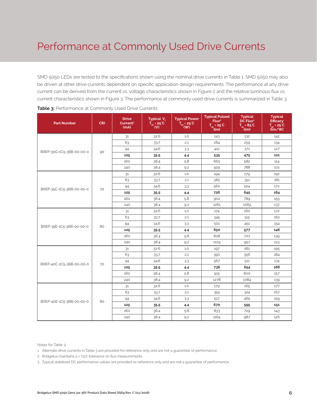SMD 5050 LEDs are tested to the specifications shown using the nominal drive currents in Table 1. SMD 5050 may also be driven at other drive currents dependent on specific application design requirements. The performance at any drive current can be derived from the current vs. voltage characteristics shown in Figure 2 and the relative luminous flux vs. current characteristics shown in Figure 3. The performance at commonly used drive currents is summarized in Table 3.

| <b>Part Number</b>       | <b>CRI</b> | <b>Drive</b><br>Current <sup>1</sup><br>(mA) | Typical V <sub>e</sub><br>$T_{sp}$ = 25°C<br>(V) | <b>Typical Power</b><br>$T_{sp}$ = 25°C<br>(W) | <b>Typical Pulsed</b><br>Flux <sup>2</sup><br>$T_{sp}$ = 25°C<br>(lm) | <b>Typical</b><br>DC Flux <sup>3</sup><br>$T_{sp} = 85^{\circ}C$<br>(lm) | <b>Typical</b><br><b>Efficacy</b><br>$T_{sp} = 25^{\circ}C$<br>(lm/W) |
|--------------------------|------------|----------------------------------------------|--------------------------------------------------|------------------------------------------------|-----------------------------------------------------------------------|--------------------------------------------------------------------------|-----------------------------------------------------------------------|
|                          |            | 31                                           | 32.6                                             | 1.0                                            | 143                                                                   | 132                                                                      | 142                                                                   |
|                          |            | 63                                           | 33.7                                             | 2.1                                            | 284                                                                   | 259                                                                      | 134                                                                   |
| BXEP-30G-1C5-36B-00-00-0 | 90         | 94                                           | 34.6                                             | 3.3                                            | 412                                                                   | 371                                                                      | 127                                                                   |
|                          |            | 125                                          | 35.5                                             | 4.4                                            | 535                                                                   | 475                                                                      | 121                                                                   |
|                          |            | 160                                          | 36.4                                             | 5.8                                            | 665                                                                   | 582                                                                      | 114                                                                   |
|                          |            | 240                                          | 38.4                                             | 9.2                                            | 929                                                                   | 788                                                                      | 101                                                                   |
|                          |            | 31                                           | 32.6                                             | 1.0                                            | 194                                                                   | 179                                                                      | 192                                                                   |
|                          |            | 63                                           | 33.7                                             | 2.1                                            | 385                                                                   | 351                                                                      | 181                                                                   |
| BXEP-35C-1C5-36B-00-00-0 |            | 94                                           | 34.6                                             | 3.3                                            | 560                                                                   | 504                                                                      | 172                                                                   |
|                          | 70         | 125                                          | 35.5                                             | 4.4                                            | 726                                                                   | 645                                                                      | 164                                                                   |
|                          |            | 160                                          | 36.4                                             | 5.8                                            | 902                                                                   | 789                                                                      | 155                                                                   |
|                          |            | 240                                          | 38.4                                             | 9.2                                            | 1261                                                                  | 1069                                                                     | 137                                                                   |
|                          | 80         | 31                                           | 32.6                                             | 1.0                                            | 174                                                                   | 160                                                                      | 172                                                                   |
|                          |            | 63                                           | 33.7                                             | 2.1                                            | 345                                                                   | 315                                                                      | 162                                                                   |
| BXEP-35E-1C5-36B-00-00-0 |            | 94                                           | 34.6                                             | 3.3                                            | 501                                                                   | 451                                                                      | 154                                                                   |
|                          |            | 125                                          | 35.5                                             | 4.4                                            | 650                                                                   | 577                                                                      | 146                                                                   |
|                          |            | 160                                          | 36.4                                             | 5.8                                            | 808                                                                   | 707                                                                      | 139                                                                   |
|                          |            | 240                                          | 38.4                                             | 9.2                                            | 1129                                                                  | 957                                                                      | 123                                                                   |
|                          |            | 31                                           | 32.6                                             | 1.0                                            | 197                                                                   | 182                                                                      | 195                                                                   |
|                          |            | 63                                           | 33.7                                             | 2.1                                            | 390                                                                   | 356                                                                      | 184                                                                   |
| BXEP-40C-1C5-36B-00-00-0 | 70         | 94                                           | 34.6                                             | 3.3                                            | 567                                                                   | 511                                                                      | 174                                                                   |
|                          |            | 125                                          | 35.5                                             | 4.4                                            | 736                                                                   | 654                                                                      | 166                                                                   |
|                          |            | 160                                          | 36.4                                             | 5.8                                            | 915                                                                   | 800                                                                      | 157                                                                   |
|                          |            | 240                                          | 38.4                                             | 9.2                                            | 1278                                                                  | 1084                                                                     | 139                                                                   |
|                          |            | 31                                           | 32.6                                             | 1.0                                            | 179                                                                   | 165                                                                      | 177                                                                   |
|                          |            | 63                                           | 33.7                                             | 2.1                                            | 355                                                                   | 324                                                                      | 167                                                                   |
| BXEP-40E-1C5-36B-00-00-0 | 80         | 94                                           | 34.6                                             | 3.3                                            | 517                                                                   | 465                                                                      | 159                                                                   |
|                          |            | 125                                          | 35.5                                             | 4.4                                            | 670                                                                   | 595                                                                      | 151                                                                   |
|                          |            | 160                                          | 36.4                                             | 5.8                                            | 833                                                                   | 729                                                                      | 143                                                                   |
|                          |            | 240                                          | 38.4                                             | 9.2                                            | 1164                                                                  | 987                                                                      | 126                                                                   |

Notes for Table 3:

1. Alternate drive currents in Table 3 are provided for reference only and are not a guarantee of performance.

2. Bridgelux maintains a ± 7.5% tolerance on flux measurements.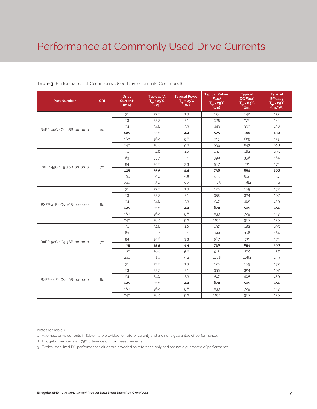#### **Table 3:** Performance at Commonly Used Drive Currents(Continued)

| <b>Part Number</b>       | <b>CRI</b> | <b>Drive</b><br>Current <sup>1</sup><br>(mA) | Typical <sub>V<sub>e</sub></sub><br>$T_{\rm sp}$ = 25 °C<br>$\mathsf{(V)}$ | <b>Typical Power</b><br>$T_{\rm sp}$ = 25°C<br>$'$ (W) | <b>Typical Pulsed</b><br>Flux <sup>2</sup><br>$T_{so} = 25^{\circ}C$<br>(lm) | <b>Typical</b><br>DC Flux <sup>3</sup><br>$T_{\rm SD} = 85^{\circ}C$<br>(lm) | <b>Typical</b><br><b>Efficacy</b><br>$T_{\text{ex}}$ = 25 $^{\circ}$ C<br>$\lim$ /w |
|--------------------------|------------|----------------------------------------------|----------------------------------------------------------------------------|--------------------------------------------------------|------------------------------------------------------------------------------|------------------------------------------------------------------------------|-------------------------------------------------------------------------------------|
|                          |            | 31                                           | 32.6                                                                       | 1.0                                                    | 154                                                                          | 142                                                                          | 152                                                                                 |
|                          |            | 63                                           | 33.7                                                                       | 2.1                                                    | 305                                                                          | 278                                                                          | 144                                                                                 |
| BXEP-40G-1C5-36B-00-00-0 | 90         | 94                                           | 34.6                                                                       | 3.3                                                    | 443                                                                          | 399                                                                          | 136                                                                                 |
|                          |            | 125                                          | 35.5                                                                       | 4.4                                                    | 575                                                                          | 511                                                                          | 130                                                                                 |
|                          |            | 160                                          | 36.4                                                                       | 5.8                                                    | 715                                                                          | 625                                                                          | 123                                                                                 |
|                          |            | 240                                          | 38.4                                                                       | 9.2                                                    | 999                                                                          | 847                                                                          | 108                                                                                 |
|                          |            | 31                                           | 32.6                                                                       | 1.0                                                    | 197                                                                          | 182                                                                          | 195                                                                                 |
|                          |            | 63                                           | 33.7                                                                       | 2.1                                                    | 390                                                                          | 356                                                                          | 184                                                                                 |
| BXEP-45C-1C5-36B-00-00-0 | 70         | 94                                           | 34.6                                                                       | 3.3                                                    | 567                                                                          | 511                                                                          | 174                                                                                 |
|                          |            | 125                                          | 35.5                                                                       | 4.4                                                    | 736                                                                          | 654                                                                          | 166                                                                                 |
|                          |            | 160                                          | 36.4                                                                       | 5.8                                                    | 915                                                                          | 800                                                                          | 157                                                                                 |
|                          |            | 240                                          | 38.4                                                                       | 9.2                                                    | 1278                                                                         | 1084                                                                         | 139                                                                                 |
|                          | 80         | 31                                           | 32.6                                                                       | 1.0                                                    | 179                                                                          | 165                                                                          | 177                                                                                 |
|                          |            | 63                                           | 33.7                                                                       | 2.1                                                    | 355                                                                          | 324                                                                          | 167                                                                                 |
| BXEP-45E-1C5-36B-00-00-0 |            | 94                                           | 34.6                                                                       | 3.3                                                    | 517                                                                          | 465                                                                          | 159                                                                                 |
|                          |            | 125                                          | 35.5                                                                       | 4.4                                                    | 670                                                                          | 595                                                                          | 151                                                                                 |
|                          |            | 160                                          | 36.4                                                                       | 5.8                                                    | 833                                                                          | 729                                                                          | 143                                                                                 |
|                          |            | 240                                          | 38.4                                                                       | 9.2                                                    | 1164                                                                         | 987                                                                          | 126                                                                                 |
|                          |            | 31                                           | 32.6                                                                       | 1.0                                                    | 197                                                                          | 182                                                                          | 195                                                                                 |
|                          |            | 63                                           | 33.7                                                                       | 2.1                                                    | 390                                                                          | 356                                                                          | 184                                                                                 |
| BXEP-50C-1C5-36B-00-00-0 | 70         | 94                                           | 34.6                                                                       | 3.3                                                    | 567                                                                          | 511                                                                          | 174                                                                                 |
|                          |            | 125                                          | 35.5                                                                       | 4.4                                                    | 736                                                                          | 654                                                                          | 166                                                                                 |
|                          |            | 160                                          | 36.4                                                                       | 5.8                                                    | 915                                                                          | 800                                                                          | 157                                                                                 |
|                          |            | 240                                          | 38.4                                                                       | 9.2                                                    | 1278                                                                         | 1084                                                                         | 139                                                                                 |
|                          |            | 31                                           | 32.6                                                                       | 1.0                                                    | 179                                                                          | 165                                                                          | 177                                                                                 |
|                          |            | 63                                           | 33.7                                                                       | 2.1                                                    | 355                                                                          | 324                                                                          | 167                                                                                 |
| BXEP-50E-1C5-36B-00-00-0 | 80         | 94                                           | 34.6                                                                       | 3.3                                                    | 517                                                                          | 465                                                                          | 159                                                                                 |
|                          |            | 125                                          | 35.5                                                                       | 4.4                                                    | 670                                                                          | 595                                                                          | 151                                                                                 |
|                          |            | 160                                          | 36.4                                                                       | 5.8                                                    | 833                                                                          | 729                                                                          | 143                                                                                 |
|                          |            | 240                                          | 38.4                                                                       | 9.2                                                    | 1164                                                                         | 987                                                                          | 126                                                                                 |

Notes for Table 3:

1. Alternate drive currents in Table 3 are provided for reference only and are not a guarantee of performance.

2. Bridgelux maintains a ± 7.5% tolerance on flux measurements.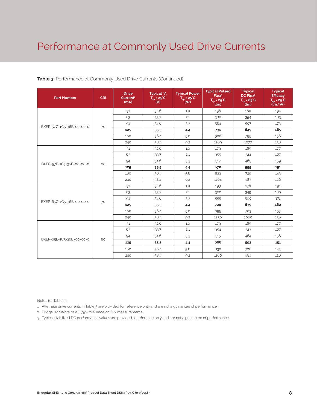| <b>Part Number</b>       | <b>CRI</b> | <b>Drive</b><br>Current <sup>1</sup><br>(mA) | Typical V.<br>$T_{sp} = 25^{\circ}C$<br>(V) | <b>Typical Power</b><br>$T_{\rm sp}$ = 25°C<br>(W) | <b>Typical Pulsed</b><br>Flux <sup>2</sup><br>$T_{sp}$ = 25°C<br>(lm) | <b>Typical</b><br>DC Flux <sup>3</sup><br>$T_{sp} = 85^{\circ}C$<br>(lm) | <b>Typical</b><br><b>Efficacy</b><br>$T_{\text{m}}$ = 25 <sup>°</sup> C<br>$\lim$ /w) |
|--------------------------|------------|----------------------------------------------|---------------------------------------------|----------------------------------------------------|-----------------------------------------------------------------------|--------------------------------------------------------------------------|---------------------------------------------------------------------------------------|
|                          |            | 31                                           | 32.6                                        | 1.0                                                | 196                                                                   | 180                                                                      | 194                                                                                   |
|                          |            | 63                                           | 33.7                                        | 2.1                                                | 388                                                                   | 354                                                                      | 183                                                                                   |
| BXEP-57C-1C5-36B-00-00-0 | 70         | 94                                           | 34.6                                        | 3.3                                                | 564                                                                   | 507                                                                      | 173                                                                                   |
|                          |            | 125                                          | 35.5                                        | 4.4                                                | 731                                                                   | 649                                                                      | 165                                                                                   |
|                          |            | 160                                          | 36.4                                        | 5.8                                                | 908                                                                   | 795                                                                      | 156                                                                                   |
|                          |            | 240                                          | 38.4                                        | 9.2                                                | 1269                                                                  | 1077                                                                     | 138                                                                                   |
|                          |            | 31                                           | 32.6                                        | 1.0                                                | 179                                                                   | 165                                                                      | 177                                                                                   |
|                          |            | 63                                           | 33.7                                        | 2.1                                                | 355                                                                   | 324                                                                      | 167                                                                                   |
| BXEP-57E-1C5-36B-00-00-0 | 80         | 94                                           | 34.6                                        | 3.3                                                | 517                                                                   | 465                                                                      | 159                                                                                   |
|                          |            | 125                                          | 35.5                                        | 4.4                                                | 670                                                                   | 595                                                                      | 151                                                                                   |
|                          |            | 160                                          | 36.4                                        | 5.8                                                | 833                                                                   | 729                                                                      | 143                                                                                   |
|                          |            | 240                                          | 38.4                                        | 9.2                                                | 1164                                                                  | 987                                                                      | 126                                                                                   |
|                          |            | 31                                           | 32.6                                        | 1.0                                                | 193                                                                   | 178                                                                      | 191                                                                                   |
|                          |            | 63                                           | 33.7                                        | 2.1                                                | 382                                                                   | 349                                                                      | 180                                                                                   |
| BXEP-65C-1C5-36B-00-00-0 |            | 94                                           | 34.6                                        | 3.3                                                | 555                                                                   | 500                                                                      | 171                                                                                   |
|                          | 70         | 125                                          | 35.5                                        | 4.4                                                | 720                                                                   | 639                                                                      | 162                                                                                   |
|                          |            | 160                                          | 36.4                                        | 5.8                                                | 895                                                                   | 783                                                                      | 153                                                                                   |
|                          |            | 240                                          | 38.4                                        | 9.2                                                | 1250                                                                  | 1060                                                                     | 136                                                                                   |
|                          |            | 31                                           | 32.6                                        | 1.0                                                | 179                                                                   | 165                                                                      | 177                                                                                   |
|                          |            | 63                                           | 33.7                                        | 2.1                                                | 354                                                                   | 323                                                                      | 167                                                                                   |
|                          |            | 94                                           | 34.6                                        | 3.3                                                | 515                                                                   | 464                                                                      | 158                                                                                   |
| BXEP-65E-1C5-36B-00-00-0 | 80         | 125                                          | 35.5                                        | 4.4                                                | 668                                                                   | 593                                                                      | 151                                                                                   |
|                          |            | 160                                          | 36.4                                        | 5.8                                                | 830                                                                   | 726                                                                      | 143                                                                                   |
|                          |            | 240                                          | 38.4                                        | 9.2                                                | 1160                                                                  | 984                                                                      | 126                                                                                   |

#### **Table 3:** Performance at Commonly Used Drive Currents (Continued)

Notes for Table 3:

1. Alternate drive currents in Table 3 are provided for reference only and are not a guarantee of performance.

2. Bridgelux maintains a ± 7.5% tolerance on flux measurements.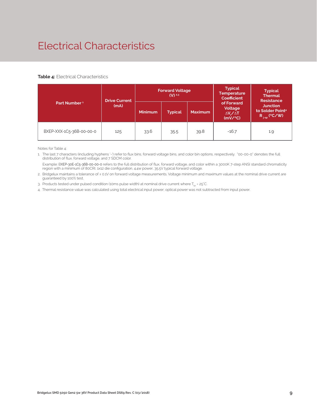# Electrical Characteristics

#### **Table 4:** Electrical Characteristics

|                          | <b>Drive Current</b> |                | <b>Forward Voltage</b><br>$(V)$ <sup>2.3</sup> |                | <b>Typical</b><br><b>Temperature</b><br>Coefficient         | <b>Typical</b><br><b>Thermal</b><br><b>Resistance</b>                |  |
|--------------------------|----------------------|----------------|------------------------------------------------|----------------|-------------------------------------------------------------|----------------------------------------------------------------------|--|
| Part Number <sup>1</sup> | (mA)                 | <b>Minimum</b> | <b>Typical</b>                                 | <b>Maximum</b> | of Forward<br>Voltage<br>$\Delta V \sim \Delta T$<br>(mV/C) | <b>Junction</b><br>to Solder Point <sup>4</sup><br>$R_{j-sp}$ (°C/W) |  |
| BXEP-XXX-1C5-36B-00-00-0 | 125                  | 33.6           | 35.5                                           | 39.8           | $-16.7$                                                     | 1.9                                                                  |  |

Notes for Table 4:

1. The last 7 characters (including hyphens '-') refer to flux bins, forward voltage bins, and color bin options, respectively. "00-00-0" denotes the full distribution of flux, forward voltage, and 7 SDCM color.

 Example: BXEP-30E-1C5-36B-00-00-0 refers to the full distribution of flux, forward voltage, and color within a 3000K 7-step ANSI standard chromaticity region with a minimum of 80CRI, 1x12 die configuration, 4.4w power, 35.5V typical forward voltage.

2. Bridgelux maintains a tolerance of ± 0.1V on forward voltage measurements. Voltage minimum and maximum values at the nominal drive current are guaranteed by 100% test.

3. Products tested under pulsed condition (10ms pulse width) at nominal drive current where  $T_{\rm es}$  = 25°C.

4. Thermal resistance value was calculated using total electrical input power; optical power was not subtracted from input power.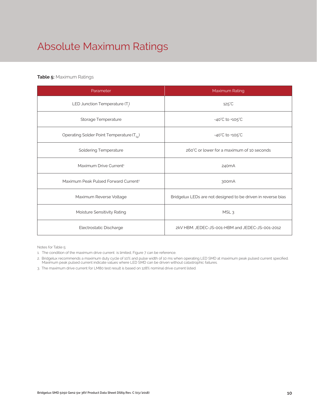# Absolute Maximum Ratings

#### **Table 5:** Maximum Ratings

| Parameter                                             | Maximum Rating                                               |
|-------------------------------------------------------|--------------------------------------------------------------|
| LED Junction Temperature $(T_i)$                      | $125^{\circ}$ C                                              |
| Storage Temperature                                   | $-40^{\circ}$ C to $+105^{\circ}$ C                          |
| Operating Solder Point Temperature (T <sub>Sp</sub> ) | $-40^{\circ}$ C to $+105^{\circ}$ C                          |
| <b>Soldering Temperature</b>                          | 260°C or lower for a maximum of 10 seconds                   |
| Maximum Drive Current <sup>1</sup>                    | 240 <sub>m</sub> A                                           |
| Maximum Peak Pulsed Forward Current <sup>2</sup>      | 300 <sub>m</sub> A                                           |
| Maximum Reverse Voltage                               | Bridgelux LEDs are not designed to be driven in reverse bias |
| Moisture Sensitivity Rating                           | MSL <sub>3</sub>                                             |
| Electrostatic Discharge                               | 2kV HBM. JEDEC-JS-001-HBM and JEDEC-JS-001-2012              |

Notes for Table 5:

1. The condition of the maximum drive current is limited, Figure 7 can be reference.

2. Bridgelux recommends a maximum duty cycle of 10% and pulse width of 10 ms when operating LED SMD at maximum peak pulsed current specified. Maximum peak pulsed current indicate values where LED SMD can be driven without catastrophic failures.

3. The maximum drive current for LM80 test result is based on 128% nominal drive current listed.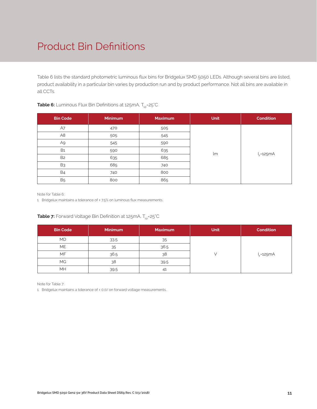## Product Bin Definitions

Table 6 lists the standard photometric luminous flux bins for Bridgelux SMD 5050 LEDs. Although several bins are listed, product availability in a particular bin varies by production run and by product performance. Not all bins are available in all CCTs.

| <b>Bin Code</b> | <b>Minimum</b> | <b>Maximum</b> | <b>Unit</b> | <b>Condition</b> |  |
|-----------------|----------------|----------------|-------------|------------------|--|
| A7              | 470            | 505            |             |                  |  |
| A <sub>8</sub>  | 505            | 545            |             |                  |  |
| A9              | 545            | 590            |             |                  |  |
| <b>B1</b>       | 590            | 635            | lm          |                  |  |
| B <sub>2</sub>  | 635            | 685            |             | $I_F = 125mA$    |  |
| B <sub>3</sub>  | 685            | 740            |             |                  |  |
| <b>B4</b>       | 740            | 800            |             |                  |  |
| <b>B5</b>       | 800            | 865            |             |                  |  |

#### **Table 6:** Luminous Flux Bin Definitions at 125mA, T<sub>sp</sub>=25°C

Note for Table 6:

1. Bridgelux maintains a tolerance of ± 7.5% on luminous flux measurements.

#### **Table 7:** Forward Voltage Bin Definition at 125mA, T<sub>sp</sub>=25°C

| <b>Bin Code</b> | <b>Minimum</b> | <b>Maximum</b> | <b>Unit</b> | <b>Condition</b> |
|-----------------|----------------|----------------|-------------|------------------|
| <b>MD</b>       | 33.5           | 35             |             |                  |
| <b>ME</b>       | 35             | 36.5           |             |                  |
| <b>MF</b>       | 36.5           | 38             |             | $I_{E}$ =125mA   |
| <b>MG</b>       | 38             | 39.5           |             |                  |
| MH              | 39.5           | 41             |             |                  |

Note for Table 7:

1. Bridgelux maintains a tolerance of ± 0.1V on forward voltage measurements.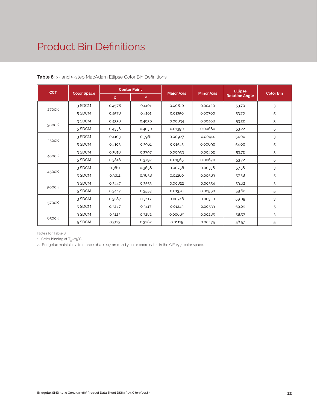### Product Bin Definitions

| <b>CCT</b> | <b>Color Space</b> | <b>Center Point</b> |        |                   |                   | <b>Ellipse</b>        |                  |
|------------|--------------------|---------------------|--------|-------------------|-------------------|-----------------------|------------------|
|            |                    | $\mathsf{x}$        | Y      | <b>Major Axis</b> | <b>Minor Axis</b> | <b>Rotation Angle</b> | <b>Color Bin</b> |
| 2700K      | 3 SDCM             | 0.4578              | 0.4101 | 0.00810           | 0.00420           | 53.70                 | 3                |
|            | 5 SDCM             | 0.4578              | 0.4101 | 0.01350           | 0.00700           | 53.70                 | 5                |
| 3000K      | 3 SDCM             | 0.4338              | 0.4030 | 0.00834           | 0.00408           | 53.22                 | 3                |
|            | 5 SDCM             | 0.4338              | 0.4030 | 0.01390           | 0.00680           | 53.22                 | 5                |
| 3500K      | 3 SDCM             | 0.4103              | 0.3961 | 0.00927           | 0.00414           | 54.00                 | 3                |
|            | 5 SDCM             | 0.4103              | 0.3961 | 0.01545           | 0.00690           | 54.00                 | 5                |
| 4000K      | 3 SDCM             | 0.3818              | 0.3797 | 0.00939           | 0.00402           | 53.72                 | 3                |
|            | 5 SDCM             | 0.3818              | 0.3797 | 0.01565           | 0.00670           | 53.72                 | 5                |
| 4500K      | 3 SDCM             | 0.3611              | 0.3658 | 0.00756           | 0.00338           | 57.58                 | 3                |
|            | 5 SDCM             | 0.3611              | 0.3658 | 0.01260           | 0.00563           | 57.58                 | 5                |
| 5000K      | 3 SDCM             | 0.3447              | 0.3553 | 0.00822           | 0.00354           | 59.62                 | 3                |
|            | 5 SDCM             | 0.3447              | 0.3553 | 0.01370           | 0.00590           | 59.62                 | 5                |
| 5700K      | 3 SDCM             | 0.3287              | 0.3417 | 0.00746           | 0.00320           | 59.09                 | 3                |
|            | 5 SDCM             | 0.3287              | 0.3417 | 0.01243           | 0.00533           | 59.09                 | 5                |
| 6500K      | 3 SDCM             | 0.3123              | 0.3282 | 0.00669           | 0.00285           | 58.57                 | 3                |
|            | 5 SDCM             | 0.3123              | 0.3282 | 0.01115           | 0.00475           | 58.57                 | 5                |

**Table 8:** 3- and 5-step MacAdam Ellipse Color Bin Definitions

Notes for Table 8:

1. Color binning at  $T_{\rm so}$ =85°C

2. Bridgelux maintains a tolerance of ± 0.007 on x and y color coordinates in the CIE 1931 color space.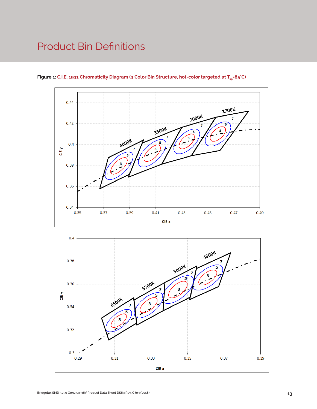### Product Bin Definitions



Figure 1: C.I.E. 1931 Chromaticity Diagram (3 Color Bin Structure, hot-color targeted at T<sub>sp</sub>=85°C)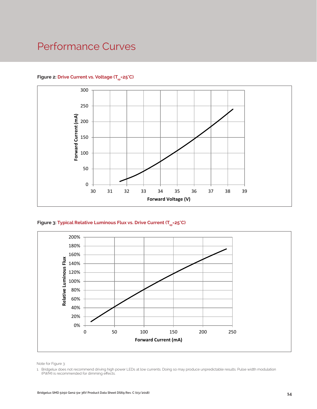### Performance Curves



#### Figure 2: Drive Current vs. Voltage (T<sub>SD</sub>=25°C)





Note for Figure 3:

1. Bridgelux does not recommend driving high power LEDs at low currents. Doing so may produce unpredictable results. Pulse width modulation (PWM) is recommended for dimming effects.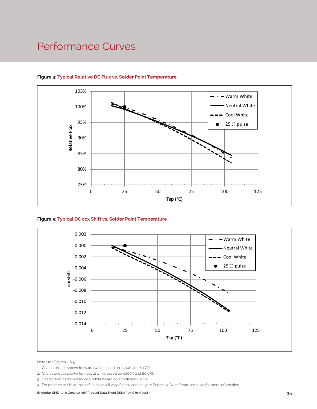### Performance Curves



#### **Figure 4: Typical Relative DC Flux vs. Solder Point Temperature**





Notes for Figures 4 & 5:

- 1. Characteristics shown for warm white based on 2700K and 80 CRI.
- 2. Characteristics shown for neutral white based on 4000K and 80 CRI.
- 3. Characteristics shown for cool white based on 5700K and 80 CRI.
- 4. For other color SKUs, the shift in color will vary. Please contact your Bridgelux Sales Representative for more information.

Bridgelux SMD 5050 Gen2 5w 36V Product Data Sheet DS69 Rev. C (03/2018) **15**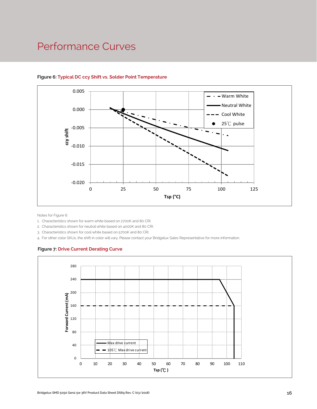### Performance Curves



#### **Figure 6: Typical DC ccy Shift vs. Solder Point Temperature**

Notes for Figure 6:

1. Characteristics shown for warm white based on 2700K and 80 CRI.

2. Characteristics shown for neutral white based on 4000K and 80 CRI.

3. Characteristics shown for cool white based on 5700K and 80 CRI.

4. For other color SKUs, the shift in color will vary. Please contact your Bridgelux Sales Representative for more information.

#### **Figure 7: Drive Current Derating Curve**

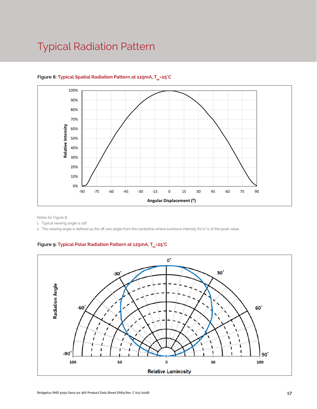### Typical Radiation Pattern



#### Figure 8: Typical Spatial Radiation Pattern at 125mA, T<sub>en</sub>=25°C

Notes for Figure 8:

1. Typical viewing angle is 116°.

2. The viewing angle is defined as the off axis angle from the centerline where luminous intensity (Iv) is ½ of the peak value.

#### Figure 9: Typical Polar Radiation Pattern at 125mA, T<sub>en</sub>=25°C

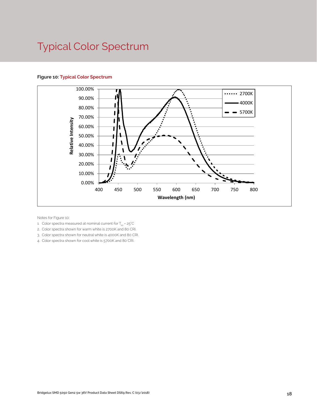# Typical Color Spectrum

#### **Figure 10: Typical Color Spectrum**



Notes for Figure 10:

- 1. Color spectra measured at nominal current for  $T_{\rm so}$  = 25°C
- 2. Color spectra shown for warm white is 2700K and 80 CRI.
- 3. Color spectra shown for neutral white is 4000K and 80 CRI.
- 4. Color spectra shown for cool white is 5700K and 80 CRI.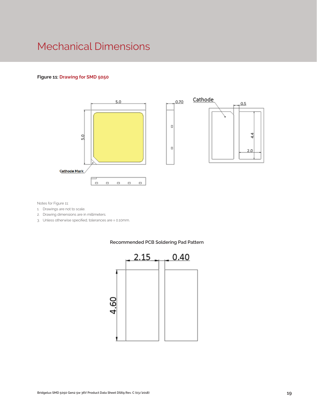### Mechanical Dimensions

#### **Figure 11: Drawing for SMD 5050**





Notes for Figure 11:

- 1. Drawings are not to scale.
- 2. Drawing dimensions are in millimeters.
- 3. Unless otherwise specified, tolerances are ± 0.10mm.



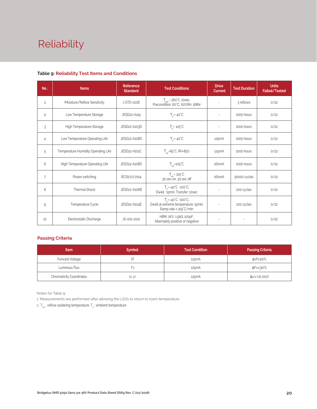# Reliability

| No.            | <b>Items</b>                        | Reference<br><b>Standard</b> | <b>Test Conditions</b>                                                                                    | <b>Drive</b><br><b>Current</b> | <b>Test Duration</b> | <b>Units</b><br><b>Failed/Tested</b> |
|----------------|-------------------------------------|------------------------------|-----------------------------------------------------------------------------------------------------------|--------------------------------|----------------------|--------------------------------------|
| $\mathbf{1}$   | Moisture/Reflow Sensitivity         | J-STD-020E                   | $T_{\text{std}}$ = 260°C, 10sec,<br>Precondition: 60°C, 60%RH, 168hr                                      |                                | 3 reflows            | 0/22                                 |
| $\overline{c}$ | Low Temperature Storage             | JESD22-A119                  | $T_a = -40^{\circ}C$                                                                                      |                                | 1000 hours           | 0/22                                 |
| 3              | High Temperature Storage            | JESD22-A103D                 | $T_a = 105^{\circ}C$                                                                                      | $\sim$                         | 1000 hours           | 0/22                                 |
| $\overline{4}$ | Low Temperature Operating Life      | JESD22-A108D                 | $T_a = -40^{\circ}C$                                                                                      | 125mA                          | 1000 hours           | 0/22                                 |
| 5              | Temperature Humidity Operating Life | JESD22-A101C                 | $T_{\rm SD} = 85^{\circ}$ C, RH=85%                                                                       | 125mA                          | 1000 hours           | 0/22                                 |
| 6              | High Temperature Operating Life     | JESD22-A108D                 | $T_{\rm SD}$ =105 $\rm ^{\circ}C$                                                                         | 160 <sub>m</sub> A             | 1000 hours           | 0/22                                 |
| 7              | Power switching                     | IEC62717:2014                | $T_{\rm SD}$ = 105 $\degree$ C<br>30 sec on, 30 sec off                                                   | 160 <sub>m</sub> A             | 30000 cycles         | 0/22                                 |
| 8              | <b>Thermal Shock</b>                | JESD22-A106B                 | $T_a = -40^{\circ}C - 100^{\circ}C$ ;<br>Dwell: 15min; Transfer: 10sec                                    |                                | 200 cycles           | 0/22                                 |
| 9              | Temperature Cycle                   | JESD22-A104E                 | $T_a = -40^{\circ}C \sim 100^{\circ}C$ ;<br>Dwell at extreme temperature: 15min;<br>Ramp rate < 105°C/min |                                | 200 cycles           | 0/22                                 |
| 10             | Electrostatic Discharge             | JS-001-2012                  | HBM, $2KV$ , $1.5k\Omega$ , $100pF$ ,<br>Alternately positive or negative                                 | $\overline{\phantom{a}}$       |                      | 0/22                                 |

#### **Table 9: Reliability Test Items and Conditions**

#### **Passing Criteria**

| <b>Item</b>                     | <b>Symbol</b> | <b>Test Condition</b> | <b>Passing Criteria</b> |
|---------------------------------|---------------|-----------------------|-------------------------|
| Forward Voltage                 |               | 125mA                 | ΔVf<10%                 |
| Luminous Flux                   | ŀ٧            | 125mA                 | ΔFν<30%                 |
| <b>Chromaticity Coordinates</b> | (x, y)        | 125mA                 | Δu'v'<0.007             |

Notes for Table 9:

1. Measurements are performed after allowing the LEDs to return to room temperature

2.  $\mathsf{T}_{\mathsf{std}}$  : reflow soldering temperature;  $\mathsf{T}_{\mathsf{a}}$  : ambient temperature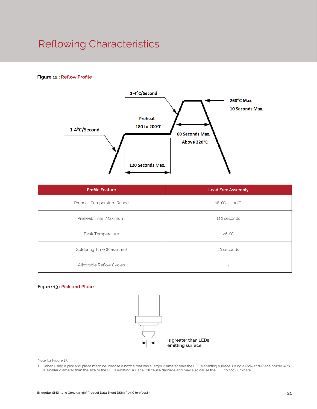# Reflowing Characteristics

#### **Figure 12 : Reflow Profile**



| <b>Profile Feature</b>     | <b>Lead Free Assembly</b>     |
|----------------------------|-------------------------------|
| Preheat: Temperature Range | $180^{\circ}C - 200^{\circ}C$ |
| Preheat: Time (Maximum)    | 120 seconds                   |
| Peak Temperature           | $260^{\circ}$ C               |
| Soldering Time (Maximum)   | 10 seconds                    |
| Allowable Reflow Cycles    | $\overline{c}$                |

#### **Figure 13 : Pick and Place**



Note for Figure 13:

1. When using a pick and place machine, choose a nozzle that has a larger diameter than the LED's emitting surface. Using a Pick-and-Place nozzle with a smaller diameter than the size of the LEDs emitting surface will cause damage and may also cause the LED to not illuminate.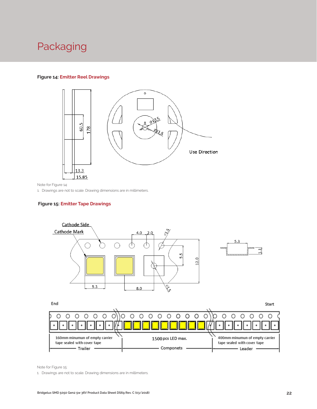### Packaging

#### **Figure 14: Emitter Reel Drawings**



Note for Figure 14:

1. Drawings are not to scale. Drawing dimensions are in millimeters.

#### **Figure 15: Emitter Tape Drawings**



160mm minumun of empty carrier 1500 pcs LED max. 400mm minumun of empty carrier tape sealed with cover tape tape sealed with cover tape - Componets - Trailer Leader .

Note for Figure 15:

1. Drawings are not to scale. Drawing dimensions are in millimeters.

 $\bullet$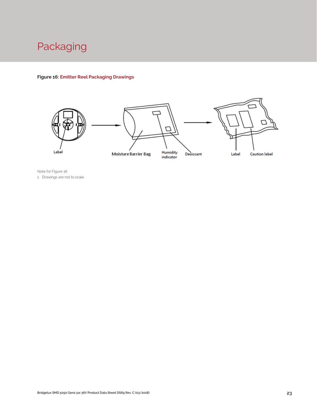

#### **Figure 16: Emitter Reel Packaging Drawings**



Note for Figure 16: 1. Drawings are not to scale.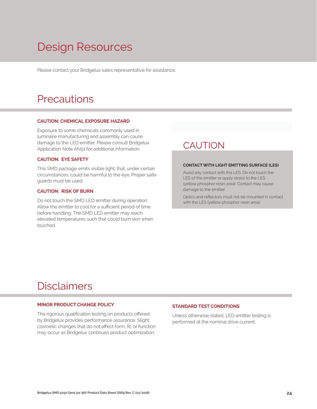# Design Resources

Please contact your Bridgelux sales representative for assistance.

### **Precautions**

#### **CAUTION: CHEMICAL EXPOSURE HAZARD**

Exposure to some chemicals commonly used in luminaire manufacturing and assembly can cause damage to the LED emitter. Please consult Bridgelux Application Note AN51 for additional information.

#### **CAUTION: EYE SAFETY**

This SMD package emits visible light, that, under certain circumstances, could be harmful to the eye. Proper safeguards must be used.

#### **CAUTION: RISK OF BURN**

Do not touch the SMD LED emitter during operation. Allow the emitter to cool for a sufficient period of time before handling. The SMD LED emitter may reach elevated temperatures such that could burn skin when touched.

### **CAUTION**

#### **CONTACT WITH LIGHT EMITTING SURFACE (LES)**

Avoid any contact with the LES. Do not touch the LES of the emitter or apply stress to the LES (yellow phosphor resin area). Contact may cause damage to the emitter

Optics and reflectors must not be mounted in contact with the LES (yellow phosphor resin area).

### Disclaimers

#### **MINOR PRODUCT CHANGE POLICY**

The rigorous qualification testing on products offered by Bridgelux provides performance assurance. Slight cosmetic changes that do not affect form, fit, or function may occur as Bridgelux continues product optimization.

#### **STANDARD TEST CONDITIONS**

Unless otherwise stated, LED emitter testing is performed at the nominal drive current.